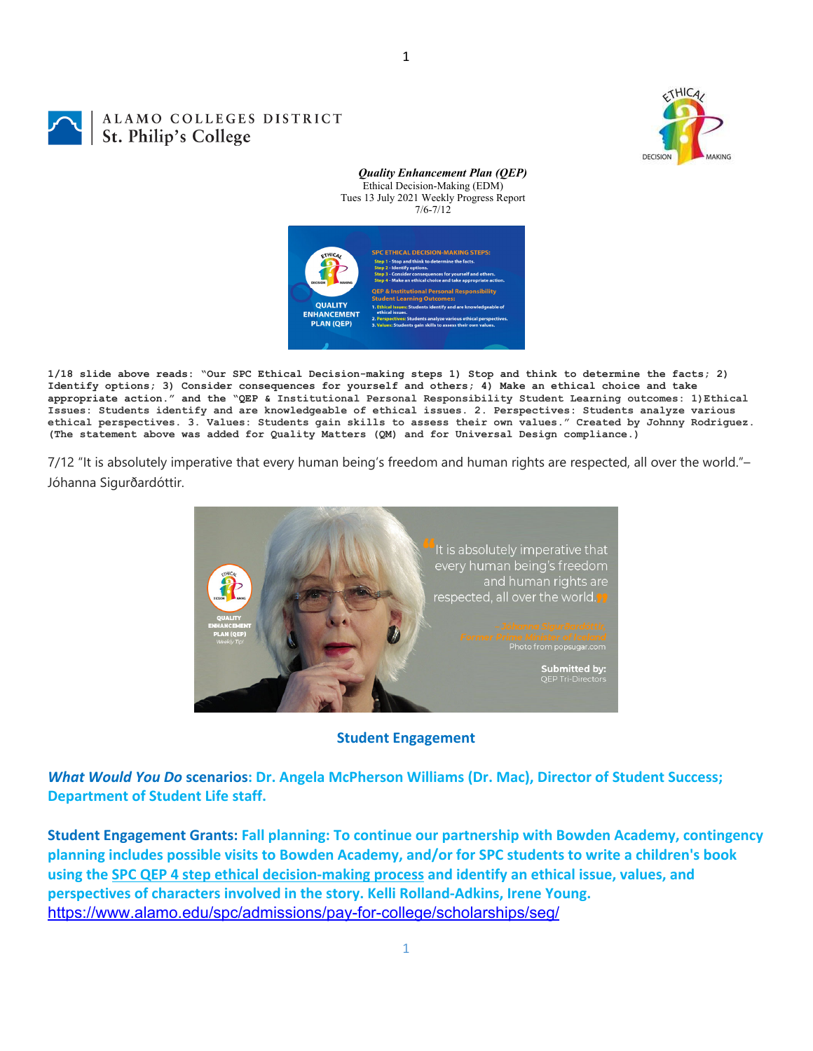

1

## ALAMO COLLEGES DISTRICT St. Philip's College



*Quality Enhancement Plan (QEP)*

**1/18 slide above reads: "Our SPC Ethical Decision-making steps 1) Stop and think to determine the facts; 2) Identify options; 3) Consider consequences for yourself and others; 4) Make an ethical choice and take appropriate action." and the "QEP & Institutional Personal Responsibility Student Learning outcomes: 1)Ethical Issues: Students identify and are knowledgeable of ethical issues. 2. Perspectives: Students analyze various ethical perspectives. 3. Values: Students gain skills to assess their own values." Created by Johnny Rodriguez. (The statement above was added for Quality Matters (QM) and for Universal Design compliance.)**

7/12 "It is absolutely imperative that every human being's freedom and human rights are respected, all over the world."– Jóhanna Sigurðardóttir.



**Student Engagement**

*What Would You Do* **scenarios: Dr. Angela McPherson Williams (Dr. Mac), Director of Student Success; Department of Student Life staff.**

**Student Engagement Grants: Fall planning: To continue our partnership with Bowden Academy, contingency planning includes possible visits to Bowden Academy, and/or for SPC students to write a children's book** using the SPC QEP 4 step ethical decision-making process and identify an ethical issue, values, and **perspectives of characters involved in the story. Kelli Rolland‐Adkins, Irene Young.** https://www.alamo.edu/spc/admissions/pay-for-college/scholarships/seg/